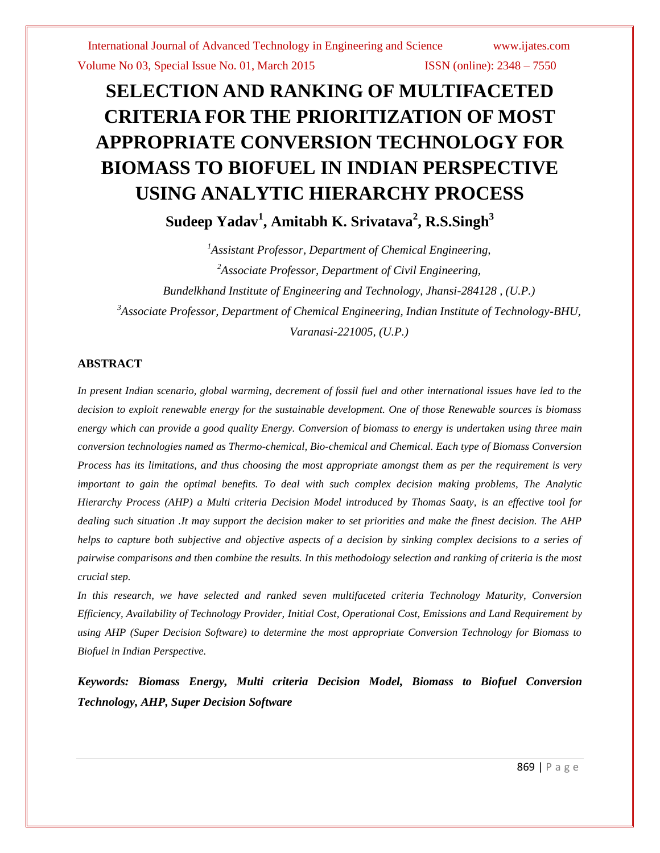# **SELECTION AND RANKING OF MULTIFACETED CRITERIA FOR THE PRIORITIZATION OF MOST APPROPRIATE CONVERSION TECHNOLOGY FOR BIOMASS TO BIOFUEL IN INDIAN PERSPECTIVE USING ANALYTIC HIERARCHY PROCESS Sudeep Yadav<sup>1</sup> , Amitabh K. Srivatava<sup>2</sup> , R.S.Singh<sup>3</sup>**

*<sup>1</sup>Assistant Professor, Department of Chemical Engineering, 2 Associate Professor, Department of Civil Engineering, Bundelkhand Institute of Engineering and Technology, Jhansi-284128 , (U.P.) <sup>3</sup>Associate Professor, Department of Chemical Engineering, Indian Institute of Technology-BHU, Varanasi-221005, (U.P.)* 

# **ABSTRACT**

In present Indian scenario, global warming, decrement of fossil fuel and other international issues have led to the *decision to exploit renewable energy for the sustainable development. One of those Renewable sources is biomass energy which can provide a good quality Energy. Conversion of biomass to energy is undertaken using three main conversion technologies named as Thermo-chemical, Bio-chemical and Chemical. Each type of Biomass Conversion Process has its limitations, and thus choosing the most appropriate amongst them as per the requirement is very important to gain the optimal benefits. To deal with such complex decision making problems, The Analytic Hierarchy Process (AHP) a Multi criteria Decision Model introduced by Thomas Saaty, is an effective tool for dealing such situation .It may support the decision maker to set priorities and make the finest decision. The AHP helps to capture both subjective and objective aspects of a decision by sinking complex decisions to a series of pairwise comparisons and then combine the results. In this methodology selection and ranking of criteria is the most crucial step.*

*In this research, we have selected and ranked seven multifaceted criteria Technology Maturity, Conversion Efficiency, Availability of Technology Provider, Initial Cost, Operational Cost, Emissions and Land Requirement by using AHP (Super Decision Software) to determine the most appropriate Conversion Technology for Biomass to Biofuel in Indian Perspective.* 

*Keywords: Biomass Energy, Multi criteria Decision Model, Biomass to Biofuel Conversion Technology, AHP, Super Decision Software*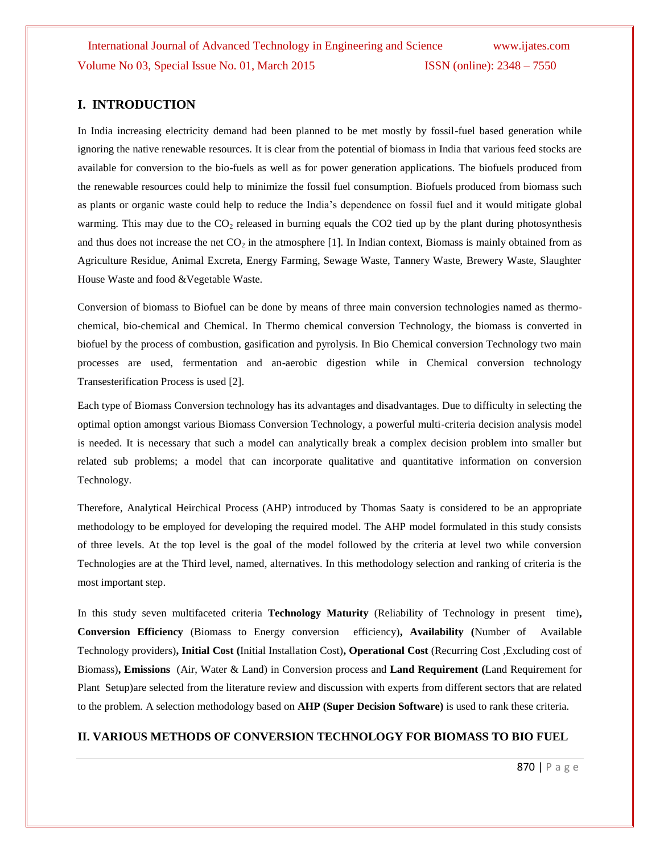# **I. INTRODUCTION**

In India increasing electricity demand had been planned to be met mostly by fossil-fuel based generation while ignoring the native renewable resources. It is clear from the potential of biomass in India that various feed stocks are available for conversion to the bio-fuels as well as for power generation applications. The biofuels produced from the renewable resources could help to minimize the fossil fuel consumption. Biofuels produced from biomass such as plants or organic waste could help to reduce the India's dependence on fossil fuel and it would mitigate global warming. This may due to the  $CO<sub>2</sub>$  released in burning equals the CO2 tied up by the plant during photosynthesis and thus does not increase the net  $CO<sub>2</sub>$  in the atmosphere [1]. In Indian context, Biomass is mainly obtained from as Agriculture Residue, Animal Excreta, Energy Farming, Sewage Waste, Tannery Waste, Brewery Waste, Slaughter House Waste and food &Vegetable Waste.

Conversion of biomass to Biofuel can be done by means of three main conversion technologies named as thermochemical, bio-chemical and Chemical. In Thermo chemical conversion Technology, the biomass is converted in biofuel by the process of combustion, gasification and pyrolysis. In Bio Chemical conversion Technology two main processes are used, fermentation and an-aerobic digestion while in Chemical conversion technology Transesterification Process is used [2].

Each type of Biomass Conversion technology has its advantages and disadvantages. Due to difficulty in selecting the optimal option amongst various Biomass Conversion Technology, a powerful multi-criteria decision analysis model is needed. It is necessary that such a model can analytically break a complex decision problem into smaller but related sub problems; a model that can incorporate qualitative and quantitative information on conversion Technology.

Therefore, Analytical Heirchical Process (AHP) introduced by Thomas Saaty is considered to be an appropriate methodology to be employed for developing the required model. The AHP model formulated in this study consists of three levels. At the top level is the goal of the model followed by the criteria at level two while conversion Technologies are at the Third level, named, alternatives. In this methodology selection and ranking of criteria is the most important step.

In this study seven multifaceted criteria **Technology Maturity** (Reliability of Technology in present time)**, Conversion Efficiency** (Biomass to Energy conversion efficiency)**, Availability (**Number of Available Technology providers)**, Initial Cost (**Initial Installation Cost)**, Operational Cost** (Recurring Cost ,Excluding cost of Biomass)**, Emissions** (Air, Water & Land) in Conversion process and **Land Requirement (**Land Requirement for Plant Setup)are selected from the literature review and discussion with experts from different sectors that are related to the problem. A selection methodology based on **AHP (Super Decision Software)** is used to rank these criteria.

# **II. VARIOUS METHODS OF CONVERSION TECHNOLOGY FOR BIOMASS TO BIO FUEL**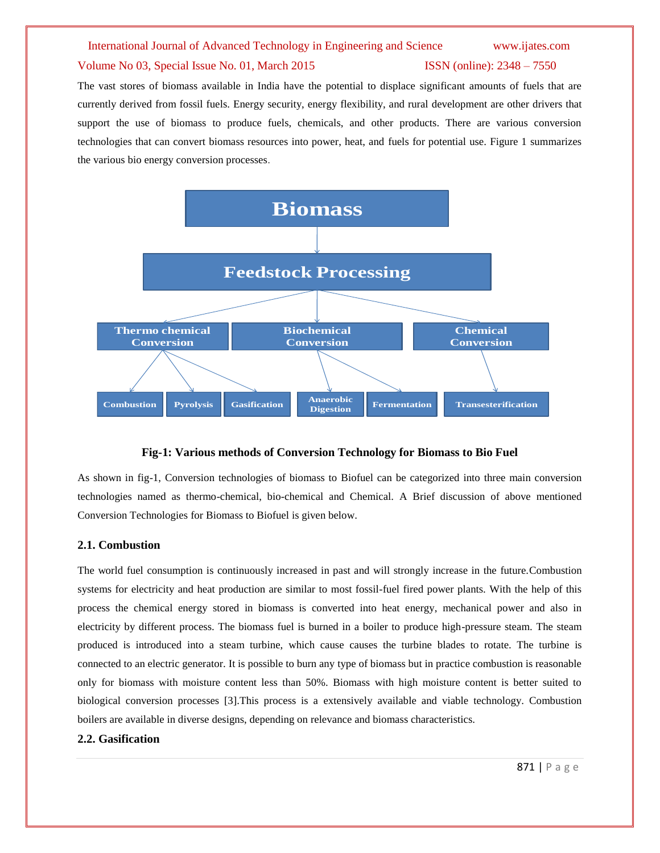### Volume No 03, Special Issue No. 01, March 2015 **ISSN** (online): 2348 – 7550

The vast stores of biomass available in India have the potential to displace significant amounts of fuels that are currently derived from fossil fuels. Energy security, energy flexibility, and rural development are other drivers that support the use of biomass to produce fuels, chemicals, and other products. There are various conversion technologies that can convert biomass resources into power, heat, and fuels for potential use. Figure 1 summarizes the various bio energy conversion processes.



### **Fig-1: Various methods of Conversion Technology for Biomass to Bio Fuel**

As shown in fig-1, Conversion technologies of biomass to Biofuel can be categorized into three main conversion technologies named as thermo-chemical, bio-chemical and Chemical. A Brief discussion of above mentioned Conversion Technologies for Biomass to Biofuel is given below.

### **2.1. Combustion**

The world fuel consumption is continuously increased in past and will strongly increase in the future.Combustion systems for electricity and heat production are similar to most fossil-fuel fired power plants. With the help of this process the chemical energy stored in biomass is converted into heat energy, mechanical power and also in electricity by different process. The biomass fuel is burned in a boiler to produce high-pressure steam. The steam produced is introduced into a steam turbine, which cause causes the turbine blades to rotate. The turbine is connected to an electric generator. It is possible to burn any type of biomass but in practice combustion is reasonable only for biomass with moisture content less than 50%. Biomass with high moisture content is better suited to biological conversion processes [3].This process is a extensively available and viable technology. Combustion boilers are available in diverse designs, depending on relevance and biomass characteristics.

### **2.2. Gasification**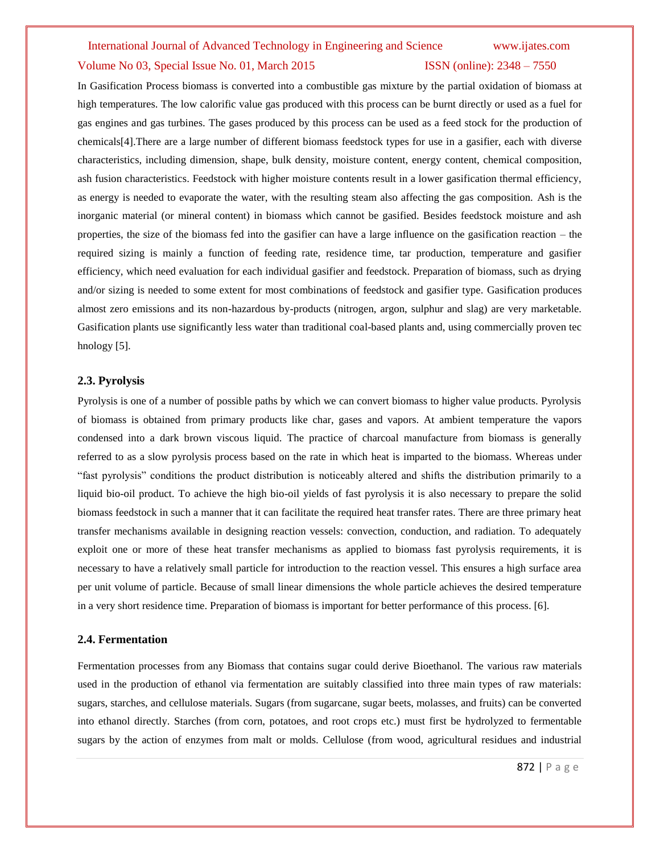### Volume No 03, Special Issue No. 01, March 2015 **ISSN** (online): 2348 – 7550

In Gasification Process biomass is converted into a combustible gas mixture by the partial oxidation of biomass at high temperatures. The low calorific value gas produced with this process can be burnt directly or used as a fuel for gas engines and gas turbines. The gases produced by this process can be used as a feed stock for the production of chemicals[4].There are a large number of different biomass feedstock types for use in a gasifier, each with diverse characteristics, including dimension, shape, bulk density, moisture content, energy content, chemical composition, ash fusion characteristics. Feedstock with higher moisture contents result in a lower gasification thermal efficiency, as energy is needed to evaporate the water, with the resulting steam also affecting the gas composition. Ash is the inorganic material (or mineral content) in biomass which cannot be gasified. Besides feedstock moisture and ash properties, the size of the biomass fed into the gasifier can have a large influence on the gasification reaction – the required sizing is mainly a function of feeding rate, residence time, tar production, temperature and gasifier efficiency, which need evaluation for each individual gasifier and feedstock. Preparation of biomass, such as drying and/or sizing is needed to some extent for most combinations of feedstock and gasifier type. Gasification produces almost zero emissions and its non-hazardous by-products (nitrogen, argon, sulphur and slag) are very marketable. Gasification plants use significantly less water than traditional coal-based plants and, using commercially proven tec hnology [5].

### **2.3. Pyrolysis**

Pyrolysis is one of a number of possible paths by which we can convert biomass to higher value products. Pyrolysis of biomass is obtained from primary products like char, gases and vapors. At ambient temperature the vapors condensed into a dark brown viscous liquid. The practice of charcoal manufacture from biomass is generally referred to as a slow pyrolysis process based on the rate in which heat is imparted to the biomass. Whereas under ―fast pyrolysis‖ conditions the product distribution is noticeably altered and shifts the distribution primarily to a liquid bio-oil product. To achieve the high bio-oil yields of fast pyrolysis it is also necessary to prepare the solid biomass feedstock in such a manner that it can facilitate the required heat transfer rates. There are three primary heat transfer mechanisms available in designing reaction vessels: convection, conduction, and radiation. To adequately exploit one or more of these heat transfer mechanisms as applied to biomass fast pyrolysis requirements, it is necessary to have a relatively small particle for introduction to the reaction vessel. This ensures a high surface area per unit volume of particle. Because of small linear dimensions the whole particle achieves the desired temperature in a very short residence time. Preparation of biomass is important for better performance of this process[. \[6\].](http://en.wikipedia.org/wiki/Pyrolysis#cite_note-4)

### **2.4. Fermentation**

Fermentation processes from any Biomass that contains sugar could derive Bioethanol. The various raw materials used in the production of ethanol via fermentation are suitably classified into three main types of raw materials: sugars, starches, and cellulose materials. Sugars (from sugarcane, sugar beets, molasses, and fruits) can be converted into ethanol directly. Starches (from corn, potatoes, and root crops etc.) must first be hydrolyzed to fermentable sugars by the action of enzymes from malt or molds. Cellulose (from wood, agricultural residues and industrial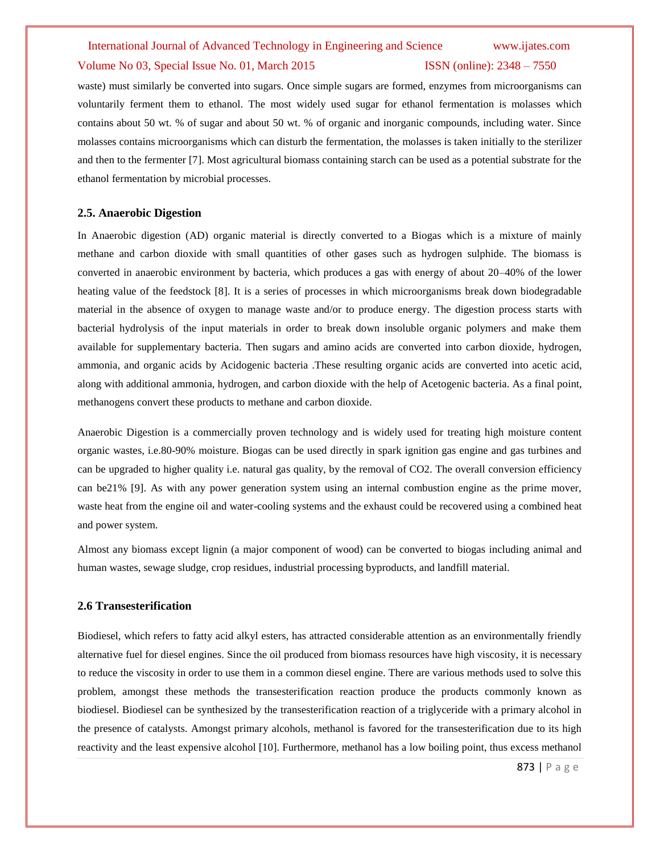### Volume No 03, Special Issue No. 01, March 2015 **ISSN** (online): 2348 – 7550

waste) must similarly be converted into sugars. Once simple sugars are formed, enzymes from microorganisms can voluntarily ferment them to ethanol. The most widely used sugar for ethanol fermentation is molasses which contains about 50 wt. % of sugar and about 50 wt. % of organic and inorganic compounds, including water. Since molasses contains microorganisms which can disturb the fermentation, the molasses is taken initially to the sterilizer and then to the fermenter [7]. Most agricultural biomass containing starch can be used as a potential substrate for the ethanol fermentation by microbial processes.

### **2.5. Anaerobic Digestion**

In Anaerobic digestion (AD) organic material is directly converted to a Biogas which is a mixture of mainly methane and carbon dioxide with small quantities of other gases such as hydrogen sulphide. The biomass is converted in anaerobic environment by bacteria, which produces a gas with energy of about 20–40% of the lower heating value of the feedstock [8]. It is a series of processes in which microorganisms break down biodegradable material in the absence of oxygen to manage waste and/or to produce energy. The digestion process starts with bacterial hydrolysis of the input materials in order to break down insoluble organic polymers and make them available for supplementary bacteria. Then sugars and amino acids are converted into carbon dioxide, hydrogen, ammonia, and organic acids by Acidogenic bacteria .These resulting organic acids are converted into acetic acid, along with additional ammonia, hydrogen, and carbon dioxide with the help of Acetogenic bacteria. As a final point, methanogens convert these products to methane and carbon dioxide.

Anaerobic Digestion is a commercially proven technology and is widely used for treating high moisture content organic wastes, i.e.80-90% moisture. Biogas can be used directly in spark ignition gas engine and gas turbines and can be upgraded to higher quality i.e. natural gas quality, by the removal of CO2. The overall conversion efficiency can be21% [9]. As with any power generation system using an internal combustion engine as the prime mover, waste heat from the engine oil and water-cooling systems and the exhaust could be recovered using a combined heat and power system.

Almost any biomass except lignin (a major component of wood) can be converted to biogas including animal and human wastes, sewage sludge, crop residues, industrial processing byproducts, and landfill material.

### **2.6 Transesterification**

Biodiesel, which refers to fatty acid alkyl esters, has attracted considerable attention as an environmentally friendly alternative fuel for diesel engines. Since the oil produced from biomass resources have high viscosity, it is necessary to reduce the viscosity in order to use them in a common diesel engine. There are various methods used to solve this problem, amongst these methods the transesterification reaction produce the products commonly known as biodiesel. Biodiesel can be synthesized by the transesterification reaction of a triglyceride with a primary alcohol in the presence of catalysts. Amongst primary alcohols, methanol is favored for the transesterification due to its high reactivity and the least expensive alcohol [10]. Furthermore, methanol has a low boiling point, thus excess methanol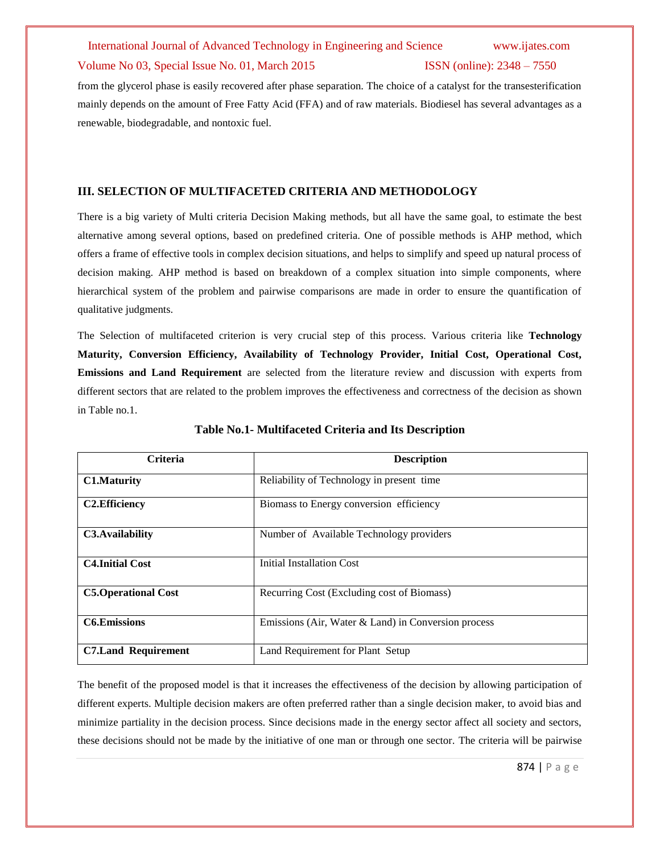### Volume No 03, Special Issue No. 01, March 2015 **ISSN** (online): 2348 – 7550

from the glycerol phase is easily recovered after phase separation. The choice of a catalyst for the transesterification mainly depends on the amount of Free Fatty Acid (FFA) and of raw materials. Biodiesel has several advantages as a renewable, biodegradable, and nontoxic fuel.

# **III. SELECTION OF MULTIFACETED CRITERIA AND METHODOLOGY**

There is a big variety of Multi criteria Decision Making methods, but all have the same goal, to estimate the best alternative among several options, based on predefined criteria. One of possible methods is AHP method, which offers a frame of effective tools in complex decision situations, and helps to simplify and speed up natural process of decision making. AHP method is based on breakdown of a complex situation into simple components, where hierarchical system of the problem and pairwise comparisons are made in order to ensure the quantification of qualitative judgments.

The Selection of multifaceted criterion is very crucial step of this process. Various criteria like **Technology Maturity, Conversion Efficiency, Availability of Technology Provider, Initial Cost, Operational Cost, Emissions and Land Requirement** are selected from the literature review and discussion with experts from different sectors that are related to the problem improves the effectiveness and correctness of the decision as shown in Table no.1.

| <b>Criteria</b>            | <b>Description</b>                                    |
|----------------------------|-------------------------------------------------------|
| <b>C1.Maturity</b>         | Reliability of Technology in present time             |
| <b>C2.Efficiency</b>       | Biomass to Energy conversion efficiency               |
| C3. Availability           | Number of Available Technology providers              |
| <b>C4. Initial Cost</b>    | <b>Initial Installation Cost</b>                      |
| <b>C5.Operational Cost</b> | Recurring Cost (Excluding cost of Biomass)            |
| <b>C6.Emissions</b>        | Emissions (Air, Water $&$ Land) in Conversion process |
| <b>C7.Land Requirement</b> | Land Requirement for Plant Setup                      |

# **Table No.1- Multifaceted Criteria and Its Description**

The benefit of the proposed model is that it increases the effectiveness of the decision by allowing participation of different experts. Multiple decision makers are often preferred rather than a single decision maker, to avoid bias and minimize partiality in the decision process. Since decisions made in the energy sector affect all society and sectors, these decisions should not be made by the initiative of one man or through one sector. The criteria will be pairwise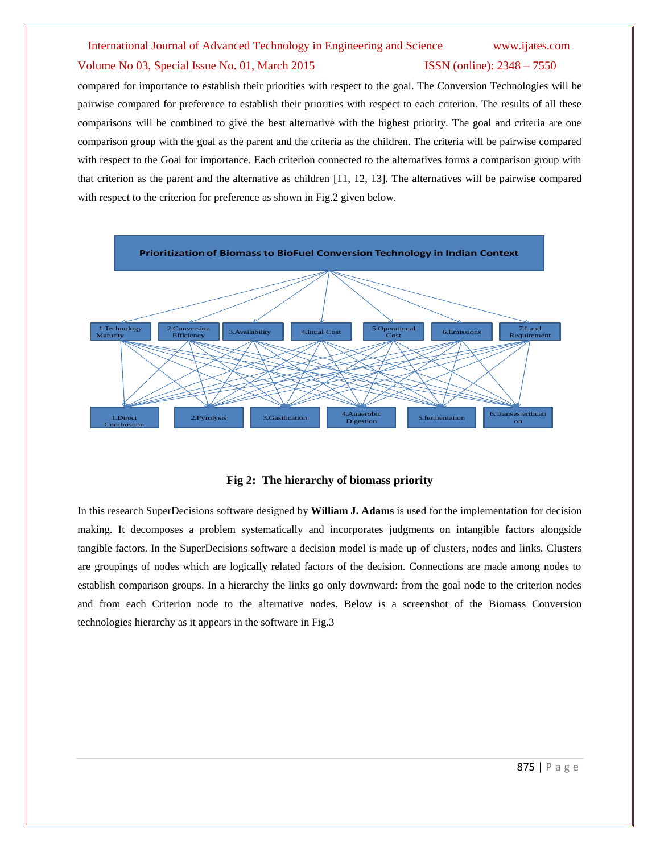### Volume No 03, Special Issue No. 01, March 2015 **ISSN** (online): 2348 – 7550

compared for importance to establish their priorities with respect to the goal. The Conversion Technologies will be pairwise compared for preference to establish their priorities with respect to each criterion. The results of all these comparisons will be combined to give the best alternative with the highest priority. The goal and criteria are one comparison group with the goal as the parent and the criteria as the children. The criteria will be pairwise compared with respect to the Goal for importance. Each criterion connected to the alternatives forms a comparison group with that criterion as the parent and the alternative as children [11, 12, 13]. The alternatives will be pairwise compared with respect to the criterion for preference as shown in Fig.2 given below.



### **Fig 2: The hierarchy of biomass priority**

In this research SuperDecisions software designed by **William J. Adams** is used for the implementation for decision making. It decomposes a problem systematically and incorporates judgments on intangible factors alongside tangible factors. In the SuperDecisions software a decision model is made up of clusters, nodes and links. Clusters are groupings of nodes which are logically related factors of the decision. Connections are made among nodes to establish comparison groups. In a hierarchy the links go only downward: from the goal node to the criterion nodes and from each Criterion node to the alternative nodes. Below is a screenshot of the Biomass Conversion technologies hierarchy as it appears in the software in Fig.3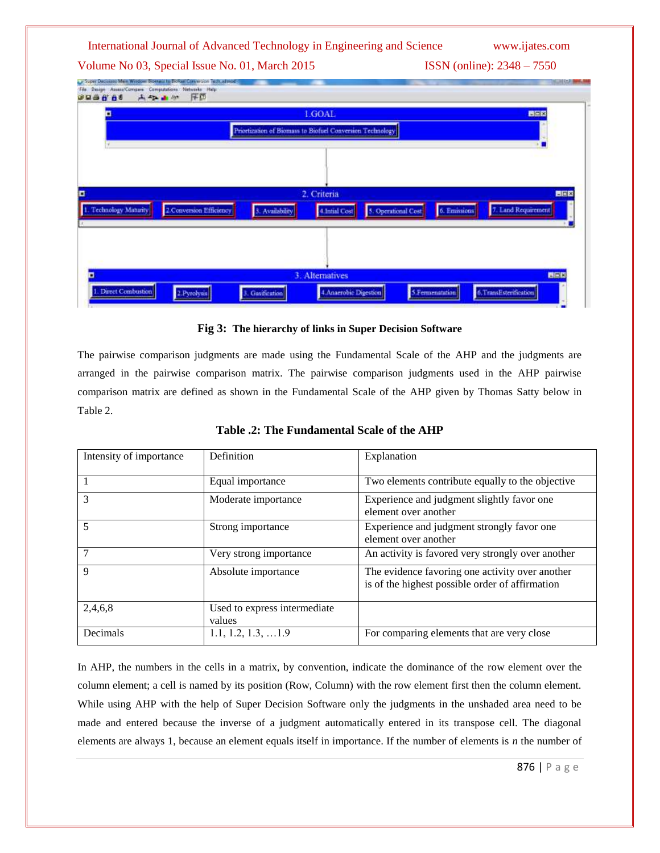Volume No 03, Special Issue No. 01, March 2015 **ISSN** (online): 2348 – 7550



# **Fig 3: The hierarchy of links in Super Decision Software**

The pairwise comparison judgments are made using the Fundamental Scale of the AHP and the judgments are arranged in the pairwise comparison matrix. The pairwise comparison judgments used in the AHP pairwise comparison matrix are defined as shown in the Fundamental Scale of the AHP given by Thomas Satty below in Table 2.

| Intensity of importance | Definition                             | Explanation                                                                                        |
|-------------------------|----------------------------------------|----------------------------------------------------------------------------------------------------|
|                         | Equal importance                       | Two elements contribute equally to the objective                                                   |
|                         | Moderate importance                    | Experience and judgment slightly favor one<br>element over another                                 |
|                         | Strong importance                      | Experience and judgment strongly favor one<br>element over another                                 |
|                         | Very strong importance                 | An activity is favored very strongly over another                                                  |
| $\mathbf Q$             | Absolute importance                    | The evidence favoring one activity over another<br>is of the highest possible order of affirmation |
| 2,4,6,8                 | Used to express intermediate<br>values |                                                                                                    |
| Decimals                | $1.1, 1.2, 1.3, \ldots$ 1.9            | For comparing elements that are very close                                                         |

**Table .2: The Fundamental Scale of the AHP**

In AHP, the numbers in the cells in a matrix, by convention, indicate the dominance of the row element over the column element; a cell is named by its position (Row, Column) with the row element first then the column element. While using AHP with the help of Super Decision Software only the judgments in the unshaded area need to be made and entered because the inverse of a judgment automatically entered in its transpose cell. The diagonal elements are always 1, because an element equals itself in importance. If the number of elements is *n* the number of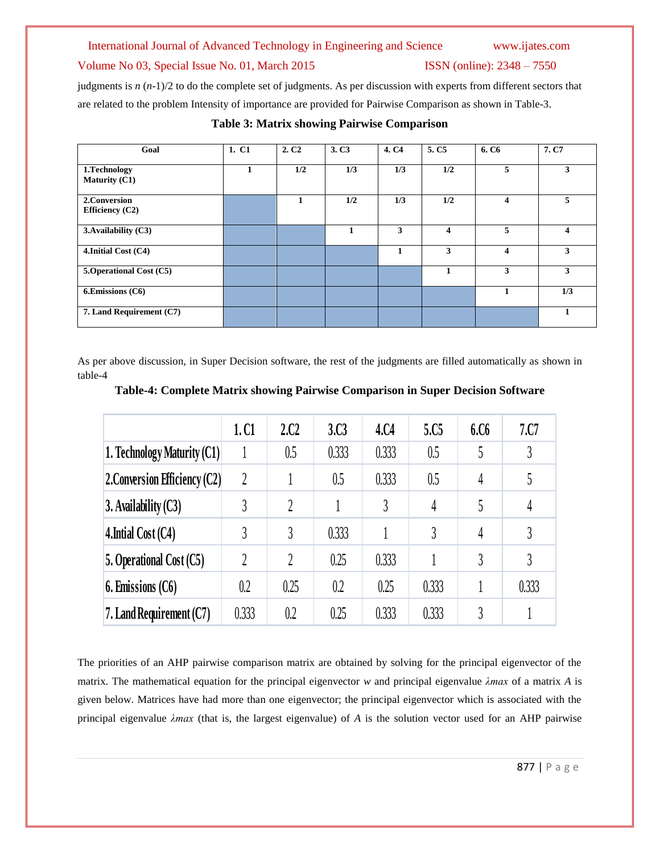# Volume No 03, Special Issue No. 01, March 2015 ISSN (online): 2348 - 7550

judgments is *n* (*n*-1)/2 to do the complete set of judgments. As per discussion with experts from different sectors that are related to the problem Intensity of importance are provided for Pairwise Comparison as shown in Table-3.

| Goal                                    | 1. C1 | 2. C <sub>2</sub> | 3. C <sub>3</sub> | 4. C <sub>4</sub> | 5. C <sub>5</sub> | 6. C <sub>6</sub>       | 7. C7                   |
|-----------------------------------------|-------|-------------------|-------------------|-------------------|-------------------|-------------------------|-------------------------|
| 1. Technology<br><b>Maturity (C1)</b>   | 1     | 1/2               | 1/3               | 1/3               | 1/2               | 5                       | 3                       |
| 2. Conversion<br><b>Efficiency (C2)</b> |       | 1                 | 1/2               | 1/3               | 1/2               | $\overline{\mathbf{4}}$ | 5                       |
| 3. Availability (C3)                    |       |                   | $\mathbf{1}$      | 3                 | 4                 | 5                       | $\overline{\mathbf{4}}$ |
| 4.Initial Cost (C4)                     |       |                   |                   |                   | 3                 | $\boldsymbol{\Delta}$   | 3                       |
| 5. Operational Cost (C5)                |       |                   |                   |                   | 1                 | 3                       | 3                       |
| 6.Emissions (C6)                        |       |                   |                   |                   |                   |                         | 1/3                     |
| 7. Land Requirement (C7)                |       |                   |                   |                   |                   |                         |                         |

# **Table 3: Matrix showing Pairwise Comparison**

As per above discussion, in Super Decision software, the rest of the judgments are filled automatically as shown in table-4

|                               | 1.C1           | 2C2            | 3 <sub>c</sub> 3 | 4.C4  | 5.C <sub>5</sub> | 6.C6          | 7.07  |
|-------------------------------|----------------|----------------|------------------|-------|------------------|---------------|-------|
| 1. Technology Maturity (C1)   |                | 0.5            | 0.333            | 0.333 | 0.5              | 5             | 3     |
| 2. Conversion Efficiency (C2) | $\overline{2}$ |                | 0.5              | 0.333 | 0.5              | 4             | 5     |
| $3.$ Availability $(C3)$      | 3              | $\mathfrak{D}$ |                  | 3     | 4                | 5             | 4     |
| 4. Initial Cost $(C4)$        | 3              | 3              | 0.333            |       | 3                | 4             | 3     |
| 5. Operational Cost (C5)      | $\overline{2}$ | $\mathfrak{D}$ | 0.25             | 0.333 |                  | 3             | 3     |
| $6.$ Emissions $(C6)$         | 0.2            | 0.25           | 0.2              | 0.25  | 0.333            |               | 0.333 |
| 7. Land Requirement (C7)      | 0.333          | 0.2            | 0.25             | 0.333 | 0.333            | $\mathcal{R}$ |       |

The priorities of an AHP pairwise comparison matrix are obtained by solving for the principal eigenvector of the matrix. The mathematical equation for the principal eigenvector *w* and principal eigenvalue *λmax* of a matrix *A* is given below. Matrices have had more than one eigenvector; the principal eigenvector which is associated with the principal eigenvalue *λmax* (that is, the largest eigenvalue) of *A* is the solution vector used for an AHP pairwise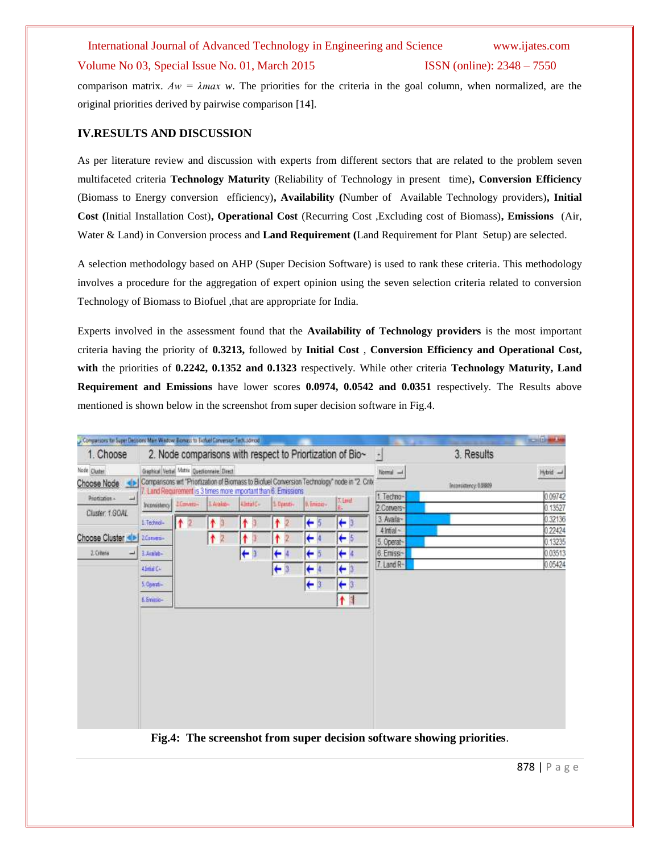### Volume No 03, Special Issue No. 01, March 2015 **ISSN** (online): 2348 – 7550

comparison matrix.  $Aw = \lambda max$  *w*. The priorities for the criteria in the goal column, when normalized, are the original priorities derived by pairwise comparison [14].

# **IV.RESULTS AND DISCUSSION**

As per literature review and discussion with experts from different sectors that are related to the problem seven multifaceted criteria **Technology Maturity** (Reliability of Technology in present time)**, Conversion Efficiency** (Biomass to Energy conversion efficiency)**, Availability (**Number of Available Technology providers)**, Initial Cost (**Initial Installation Cost)**, Operational Cost** (Recurring Cost ,Excluding cost of Biomass)**, Emissions** (Air, Water & Land) in Conversion process and **Land Requirement (**Land Requirement for Plant Setup) are selected.

A selection methodology based on AHP (Super Decision Software) is used to rank these criteria. This methodology involves a procedure for the aggregation of expert opinion using the seven selection criteria related to conversion Technology of Biomass to Biofuel ,that are appropriate for India.

Experts involved in the assessment found that the **Availability of Technology providers** is the most important criteria having the priority of **0.3213,** followed by **Initial Cost** , **Conversion Efficiency and Operational Cost, with** the priorities of **0.2242, 0.1352 and 0.1323** respectively. While other criteria **Technology Maturity, Land Requirement and Emissions** have lower scores **0.0974, 0.0542 and 0.0351** respectively. The Results above mentioned is shown below in the screenshot from super decision software in Fig.4.

| Compassors for Super Decisions Main Window: Bomass to Biofuel Conversion Tech.sdmod |                                                                                                                                                        |      |         |                |                          |                |                                                                                                |                            | <b>Charles Card</b><br>٠           | <b>COLE AND</b>   |  |
|-------------------------------------------------------------------------------------|--------------------------------------------------------------------------------------------------------------------------------------------------------|------|---------|----------------|--------------------------|----------------|------------------------------------------------------------------------------------------------|----------------------------|------------------------------------|-------------------|--|
| 1. Choose                                                                           |                                                                                                                                                        |      |         |                |                          |                | 2. Node comparisons with respect to Priortization of Bio~                                      | $\pm$                      | 3. Results                         |                   |  |
| Node Cludes<br>Choose Node                                                          | Graphical Verbal Matrix Questionnaire Direct                                                                                                           |      |         |                |                          |                | Comparisons wit "Priortization of Biomass to Biofuel Conversion Technology" node in "2. Criti- | Normal -                   | Hybrid -<br>Inconsistency: 0.88809 |                   |  |
| Printminist -<br>щ<br>Cluster, 1.GOAL                                               | 7 Land Requirement is 3 times more important than 6. Emissions<br>Tilint<br>L Avakab-<br>0. Emissio-<br>Intensitimo LConvers-<br>4 Intalie<br>1 Deemi- |      |         |                | 1. Techno-<br>2.Convers- |                | 0.09742<br>0.13527                                                                             |                            |                                    |                   |  |
|                                                                                     | 1.Technol-                                                                                                                                             | $+2$ | ↟<br>i3 | ۴              | ۰                        | $\leftarrow$ 5 | $\leftarrow$ 3                                                                                 | 3. Availa-<br>$4$ Intial ~ |                                    | 0.32136<br>022424 |  |
| Choose Cluster <> 2 Zdanes-                                                         |                                                                                                                                                        |      | ۰<br>2  | ۴              | Ť                        | ←              | $\leftarrow$ 5                                                                                 | 5. Operat-                 |                                    | 0.13235           |  |
| 2. Citeria                                                                          | # 1.4mm                                                                                                                                                |      |         | $\leftarrow$ 3 | ۰                        | $+5$           | $\leftarrow$                                                                                   | 6. Emissi-                 |                                    | 0.03513           |  |
|                                                                                     | 41mm Cu                                                                                                                                                |      |         |                | ٠                        | $\leftarrow$   | $\leftarrow$ 3                                                                                 | 7. Land R-                 |                                    | 0.05424           |  |
|                                                                                     | 5. Operat-                                                                                                                                             |      |         |                |                          | $\leftarrow$ 3 | $\leftarrow$ 3                                                                                 |                            |                                    |                   |  |
|                                                                                     | E. Eminio-                                                                                                                                             |      |         |                |                          |                | 个目                                                                                             |                            |                                    |                   |  |
|                                                                                     |                                                                                                                                                        |      |         |                |                          |                |                                                                                                |                            |                                    |                   |  |
|                                                                                     |                                                                                                                                                        |      |         |                |                          |                |                                                                                                |                            |                                    |                   |  |
|                                                                                     |                                                                                                                                                        |      |         |                |                          |                |                                                                                                |                            |                                    |                   |  |
|                                                                                     |                                                                                                                                                        |      |         |                |                          |                |                                                                                                |                            |                                    |                   |  |
|                                                                                     |                                                                                                                                                        |      |         |                |                          |                |                                                                                                |                            |                                    |                   |  |
|                                                                                     |                                                                                                                                                        |      |         |                |                          |                |                                                                                                |                            |                                    |                   |  |
|                                                                                     |                                                                                                                                                        |      |         |                |                          |                |                                                                                                |                            |                                    |                   |  |
|                                                                                     |                                                                                                                                                        |      |         |                |                          |                |                                                                                                |                            |                                    |                   |  |
|                                                                                     |                                                                                                                                                        |      |         |                |                          |                |                                                                                                |                            |                                    |                   |  |

**Fig.4: The screenshot from super decision software showing priorities**.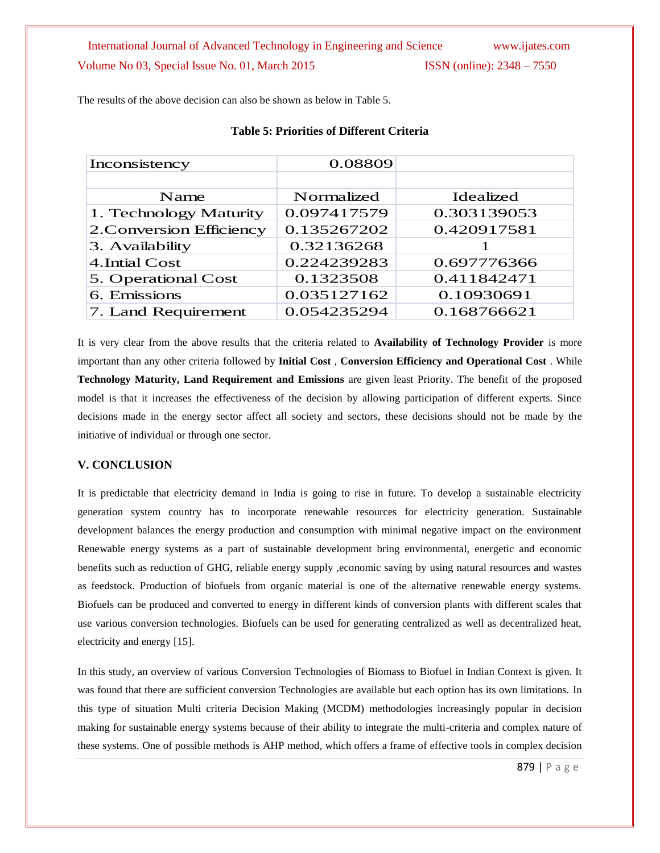The results of the above decision can also be shown as below in Table 5.

| Inconsistency            | 0.08809     |             |
|--------------------------|-------------|-------------|
|                          |             |             |
| Name                     | Normalized  | Idealized   |
| 1. Technology Maturity   | 0.097417579 | 0.303139053 |
| 2. Conversion Efficiency | 0.135267202 | 0.420917581 |
| 3. Availability          | 0.32136268  |             |
| 4. Intial Cost           | 0.224239283 | 0.697776366 |
| 5. Operational Cost      | 0.1323508   | 0.411842471 |
| 6. Emissions             | 0.035127162 | 0.10930691  |
| 7. Land Requirement      | 0.054235294 | 0.168766621 |

# **Table 5: Priorities of Different Criteria**

It is very clear from the above results that the criteria related to **Availability of Technology Provider** is more important than any other criteria followed by **Initial Cost** , **Conversion Efficiency and Operational Cost** . While **Technology Maturity, Land Requirement and Emissions** are given least Priority. The benefit of the proposed model is that it increases the effectiveness of the decision by allowing participation of different experts. Since decisions made in the energy sector affect all society and sectors, these decisions should not be made by the initiative of individual or through one sector.

# **V. CONCLUSION**

It is predictable that electricity demand in India is going to rise in future. To develop a sustainable electricity generation system country has to incorporate renewable resources for electricity generation. Sustainable development balances the energy production and consumption with minimal negative impact on the environment Renewable energy systems as a part of sustainable development bring environmental, energetic and economic benefits such as reduction of GHG, reliable energy supply ,economic saving by using natural resources and wastes as feedstock. Production of biofuels from organic material is one of the alternative renewable energy systems. Biofuels can be produced and converted to energy in different kinds of conversion plants with different scales that use various conversion technologies. Biofuels can be used for generating centralized as well as decentralized heat, electricity and energy [15].

In this study, an overview of various Conversion Technologies of Biomass to Biofuel in Indian Context is given. It was found that there are sufficient conversion Technologies are available but each option has its own limitations. In this type of situation Multi criteria Decision Making (MCDM) methodologies increasingly popular in decision making for sustainable energy systems because of their ability to integrate the multi-criteria and complex nature of these systems. One of possible methods is AHP method, which offers a frame of effective tools in complex decision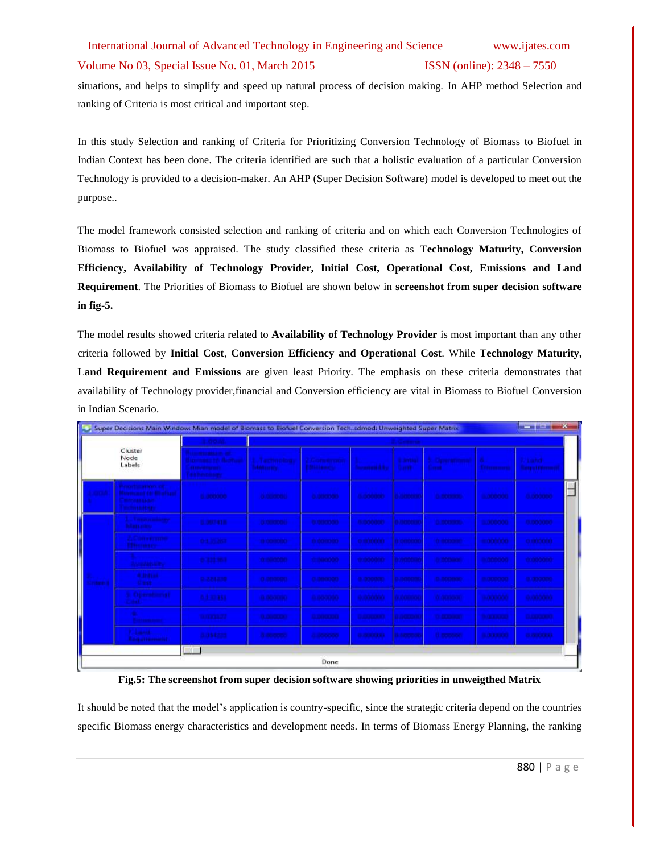# Volume No 03, Special Issue No. 01, March 2015 **ISSN** (online): 2348 – 7550

situations, and helps to simplify and speed up natural process of decision making. In AHP method Selection and ranking of Criteria is most critical and important step.

In this study Selection and ranking of Criteria for Prioritizing Conversion Technology of Biomass to Biofuel in Indian Context has been done. The criteria identified are such that a holistic evaluation of a particular Conversion Technology is provided to a decision-maker. An AHP (Super Decision Software) model is developed to meet out the purpose..

The model framework consisted selection and ranking of criteria and on which each Conversion Technologies of Biomass to Biofuel was appraised. The study classified these criteria as **Technology Maturity, Conversion Efficiency, Availability of Technology Provider, Initial Cost, Operational Cost, Emissions and Land Requirement**. The Priorities of Biomass to Biofuel are shown below in **screenshot from super decision software in fig-5.**

The model results showed criteria related to **Availability of Technology Provider** is most important than any other criteria followed by **Initial Cost**, **Conversion Efficiency and Operational Cost**. While **Technology Maturity, Land Requirement and Emissions** are given least Priority. The emphasis on these criteria demonstrates that availability of Technology provider,financial and Conversion efficiency are vital in Biomass to Biofuel Conversion in Indian Scenario.

|                   | Super Decisions Main Window: Mian model of Biomass to Biofuel Conversion Tech.sdmod: Unweighted Super Matrix |                                                                                                                  |                                                 |                                                  |                                          |                                 |                                       |                               | <b>GAS</b> The GAS IN 200       | $\mathbf{x}$ |
|-------------------|--------------------------------------------------------------------------------------------------------------|------------------------------------------------------------------------------------------------------------------|-------------------------------------------------|--------------------------------------------------|------------------------------------------|---------------------------------|---------------------------------------|-------------------------------|---------------------------------|--------------|
|                   |                                                                                                              | <b>Report Follows</b>                                                                                            |                                                 |                                                  |                                          |                                 |                                       |                               |                                 |              |
|                   | Cluster<br>Node<br>Labels                                                                                    | <b>The American Street</b><br>comments, the floor board<br><b>CONTRACTOR</b><br><b><i><u>ERIO BARRET</u></i></b> | <b><i>Auctionology</i></b><br><b>Istokenety</b> | <b><i>Communication</i></b><br><b>Bittermann</b> | <b><i><u>International Asset</u></i></b> | <b>B</b> Architect<br>Garrit.   | <b>Chronocheromen</b><br><b>Count</b> | A.<br>Ethnologia              | 2. Subd.<br><b>Tangulations</b> |              |
| <b>START AND</b>  | <b>In order at those</b><br><b>Command Of Street and</b><br><b>MITCHERSON</b><br><b>Technology</b>           | <b>B</b> protected                                                                                               | a celebrati                                     | <b><i><b>BEDEVENIS</b></i></b>                   | <b>Banderon</b>                          | e neevou                        | <b>G. PRODUCTION</b>                  | <b><i><b>BUILDING</b></i></b> | <b>Bandere</b>                  |              |
|                   | <b>STATISTICS</b><br><b>Mariana</b>                                                                          | <b>B. DECTA1 III</b>                                                                                             | <b>CONTROLL</b>                                 | <b><i><b>BISKOPS</b></i></b>                     | <b>BIBOODIA</b>                          | <b>CONTRACTOR</b>               | <b>O. PERSONAL</b>                    | 3,000000                      | <b>B.BOODO</b>                  |              |
|                   | Составляют<br><b>Thomas con</b>                                                                              | <b>D-1 31 MW</b>                                                                                                 | <b>The School Co.</b>                           | its deserveres.                                  | <b>CONTROLLER</b>                        | <b>EX CHRISTIAN</b>             | <b>COMMERCIAL</b>                     | <b>REPORT OF A</b>            | <b>CONTROLLER</b>               |              |
|                   | <b><i><u>Call america</u></i></b>                                                                            | <b>BITTERS</b>                                                                                                   | <b><i>a seconds</i></b>                         | <b>CONSUMINATION</b>                             | trocontri                                | <b>CONTROLLED</b>               | <b>IN DOCUMENT</b>                    | 0.000000                      | monone:                         |              |
| <b>Contact Li</b> | <b>A. Indust</b><br><b>CHART</b>                                                                             | 0334210                                                                                                          | a primore.                                      | 0.000000                                         | в зовоею                                 | <b>CONTRACTOR</b>               | с посныю.                             | полоско                       | <b>B-300000</b>                 |              |
|                   | <b>Currentment</b>                                                                                           | 6.1.32.351                                                                                                       | <b>B</b> domina.                                | плоской С                                        | <b>REGIONARY</b>                         | <b>CONTRACTOR</b>               | <b>OCOMMENT</b>                       | <b>DATE RADIO</b>             | <b>QUOCKYOO</b>                 |              |
|                   | <b>Antiquisition of</b>                                                                                      | <b>BALLASTER</b>                                                                                                 | <b>QUALITY</b>                                  | <b>DESCRIPTION</b>                               | <b>DESCRIPTION</b>                       | <b>CONTRACTOR</b>               | <b>O CERTAIN</b>                      | <b><i><u>BALLARDO</u></i></b> | <b>TELEVISION</b>               |              |
| I                 | <b>Land</b><br><b><i><u>Administrative</u></i></b>                                                           | 0.054228                                                                                                         | <b>A description</b>                            | <b>CONTRACTOR</b>                                | <b><i><b>BEEREERS</b></i></b>            | <b><i><u>A ENTERNAL</u></i></b> | <b>Hiermond</b>                       | <b>BIRTHDAY</b>               | <b>CERTIFICATES</b>             |              |
|                   |                                                                                                              |                                                                                                                  |                                                 |                                                  |                                          |                                 |                                       |                               |                                 |              |
|                   |                                                                                                              |                                                                                                                  |                                                 | Done                                             |                                          |                                 |                                       |                               |                                 |              |

**Fig.5: The screenshot from super decision software showing priorities in unweigthed Matrix**

It should be noted that the model's application is country-specific, since the strategic criteria depend on the countries specific Biomass energy characteristics and development needs. In terms of Biomass Energy Planning, the ranking